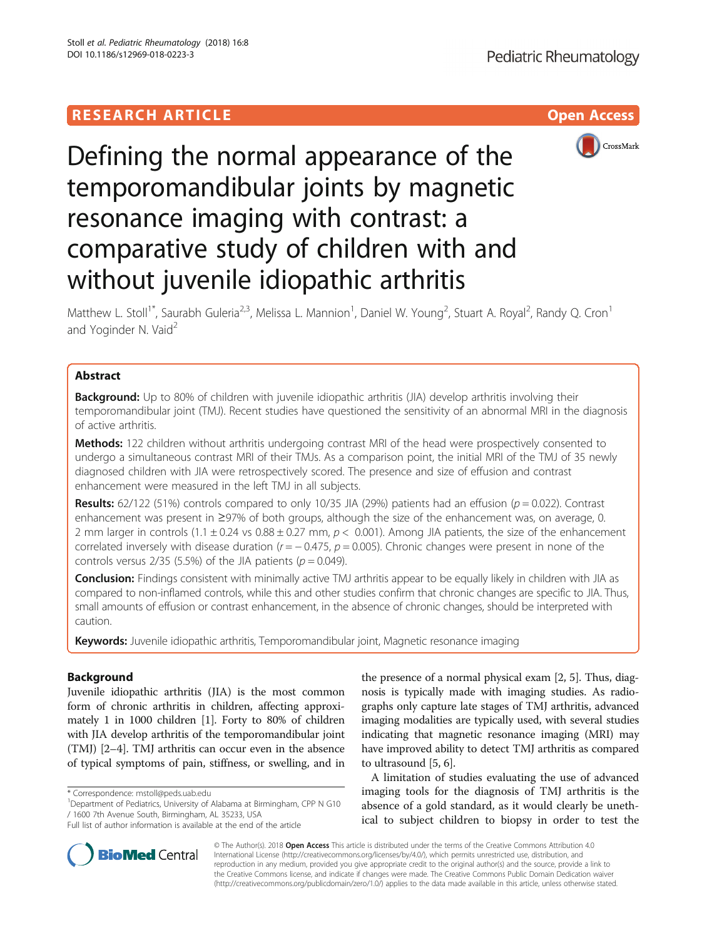# **RESEARCH ARTICLE Example 2018 12:00 Department of the CONNECTION CONNECTION CONNECTION CONNECTION**



# Defining the normal appearance of the temporomandibular joints by magnetic resonance imaging with contrast: a comparative study of children with and without juvenile idiopathic arthritis

Matthew L. Stoll<sup>1\*</sup>, Saurabh Guleria<sup>2,3</sup>, Melissa L. Mannion<sup>1</sup>, Daniel W. Young<sup>2</sup>, Stuart A. Royal<sup>2</sup>, Randy Q. Cron<sup>1</sup> and Yoginder N. Vaid<sup>2</sup>

# Abstract

**Background:** Up to 80% of children with juvenile idiopathic arthritis (JIA) develop arthritis involving their temporomandibular joint (TMJ). Recent studies have questioned the sensitivity of an abnormal MRI in the diagnosis of active arthritis.

**Methods:** 122 children without arthritis undergoing contrast MRI of the head were prospectively consented to undergo a simultaneous contrast MRI of their TMJs. As a comparison point, the initial MRI of the TMJ of 35 newly diagnosed children with JIA were retrospectively scored. The presence and size of effusion and contrast enhancement were measured in the left TMJ in all subjects.

Results: 62/122 (51%) controls compared to only 10/35 JIA (29%) patients had an effusion ( $p = 0.022$ ). Contrast enhancement was present in ≥97% of both groups, although the size of the enhancement was, on average, 0. 2 mm larger in controls (1.1  $\pm$  0.24 vs 0.88  $\pm$  0.27 mm,  $p <$  0.001). Among JIA patients, the size of the enhancement correlated inversely with disease duration ( $r = -0.475$ ,  $p = 0.005$ ). Chronic changes were present in none of the controls versus  $2/35$  (5.5%) of the JIA patients ( $p = 0.049$ ).

Conclusion: Findings consistent with minimally active TMJ arthritis appear to be equally likely in children with JIA as compared to non-inflamed controls, while this and other studies confirm that chronic changes are specific to JIA. Thus, small amounts of effusion or contrast enhancement, in the absence of chronic changes, should be interpreted with caution.

Keywords: Juvenile idiopathic arthritis, Temporomandibular joint, Magnetic resonance imaging

# Background

Juvenile idiopathic arthritis (JIA) is the most common form of chronic arthritis in children, affecting approximately 1 in 1000 children [[1\]](#page-6-0). Forty to 80% of children with JIA develop arthritis of the temporomandibular joint (TMJ) [[2](#page-6-0)–[4](#page-6-0)]. TMJ arthritis can occur even in the absence of typical symptoms of pain, stiffness, or swelling, and in

\* Correspondence: [mstoll@peds.uab.edu](mailto:mstoll@peds.uab.edu) <sup>1</sup>

<sup>1</sup>Department of Pediatrics, University of Alabama at Birmingham, CPP N G10 / 1600 7th Avenue South, Birmingham, AL 35233, USA



A limitation of studies evaluating the use of advanced imaging tools for the diagnosis of TMJ arthritis is the absence of a gold standard, as it would clearly be unethical to subject children to biopsy in order to test the



Full list of author information is available at the end of the article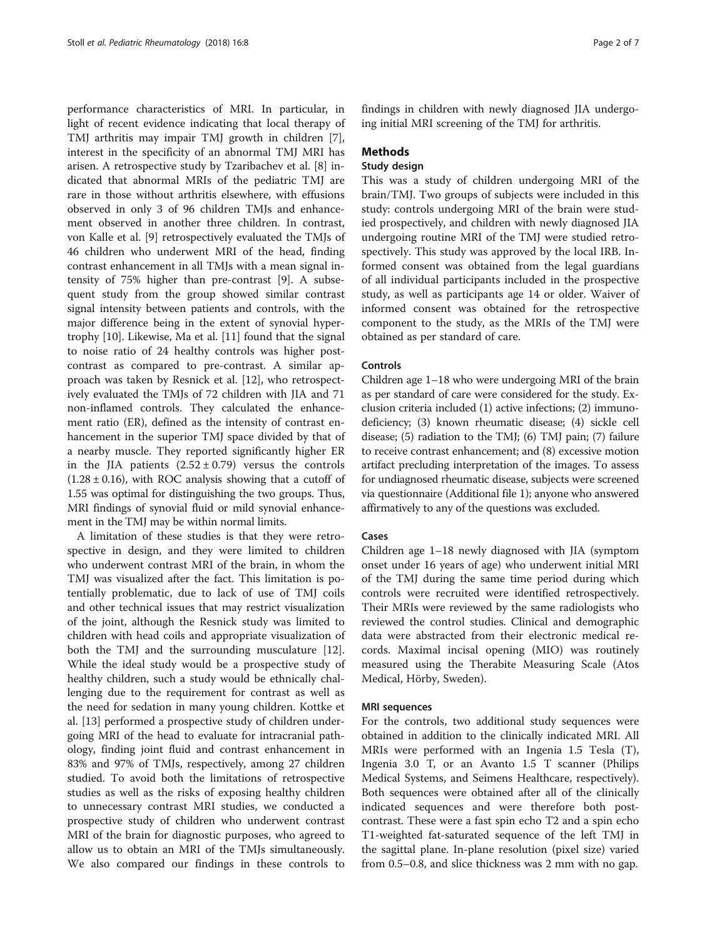performance characteristics of MRI. In particular, in light of recent evidence indicating that local therapy of TMJ arthritis may impair TMJ growth in children [\[7](#page-6-0)], interest in the specificity of an abnormal TMJ MRI has arisen. A retrospective study by Tzaribachev et al. [[8\]](#page-6-0) indicated that abnormal MRIs of the pediatric TMJ are rare in those without arthritis elsewhere, with effusions observed in only 3 of 96 children TMJs and enhancement observed in another three children. In contrast, von Kalle et al. [\[9](#page-6-0)] retrospectively evaluated the TMJs of 46 children who underwent MRI of the head, finding contrast enhancement in all TMJs with a mean signal intensity of 75% higher than pre-contrast [[9\]](#page-6-0). A subsequent study from the group showed similar contrast signal intensity between patients and controls, with the major difference being in the extent of synovial hypertrophy [[10](#page-6-0)]. Likewise, Ma et al. [[11\]](#page-6-0) found that the signal to noise ratio of 24 healthy controls was higher postcontrast as compared to pre-contrast. A similar approach was taken by Resnick et al. [[12\]](#page-6-0), who retrospectively evaluated the TMJs of 72 children with JIA and 71 non-inflamed controls. They calculated the enhancement ratio (ER), defined as the intensity of contrast enhancement in the superior TMJ space divided by that of a nearby muscle. They reported significantly higher ER in the JIA patients  $(2.52 \pm 0.79)$  versus the controls  $(1.28 \pm 0.16)$ , with ROC analysis showing that a cutoff of 1.55 was optimal for distinguishing the two groups. Thus, MRI findings of synovial fluid or mild synovial enhancement in the TMJ may be within normal limits.

A limitation of these studies is that they were retrospective in design, and they were limited to children who underwent contrast MRI of the brain, in whom the TMJ was visualized after the fact. This limitation is potentially problematic, due to lack of use of TMJ coils and other technical issues that may restrict visualization of the joint, although the Resnick study was limited to children with head coils and appropriate visualization of both the TMJ and the surrounding musculature [\[12](#page-6-0)]. While the ideal study would be a prospective study of healthy children, such a study would be ethnically challenging due to the requirement for contrast as well as the need for sedation in many young children. Kottke et al. [[13\]](#page-6-0) performed a prospective study of children undergoing MRI of the head to evaluate for intracranial pathology, finding joint fluid and contrast enhancement in 83% and 97% of TMJs, respectively, among 27 children studied. To avoid both the limitations of retrospective studies as well as the risks of exposing healthy children to unnecessary contrast MRI studies, we conducted a prospective study of children who underwent contrast MRI of the brain for diagnostic purposes, who agreed to allow us to obtain an MRI of the TMJs simultaneously. We also compared our findings in these controls to

findings in children with newly diagnosed JIA undergoing initial MRI screening of the TMJ for arthritis.

#### Methods

### Study design

This was a study of children undergoing MRI of the brain/TMJ. Two groups of subjects were included in this study: controls undergoing MRI of the brain were studied prospectively, and children with newly diagnosed JIA undergoing routine MRI of the TMJ were studied retrospectively. This study was approved by the local IRB. Informed consent was obtained from the legal guardians of all individual participants included in the prospective study, as well as participants age 14 or older. Waiver of informed consent was obtained for the retrospective component to the study, as the MRIs of the TMJ were obtained as per standard of care.

#### Controls

Children age 1–18 who were undergoing MRI of the brain as per standard of care were considered for the study. Exclusion criteria included (1) active infections; (2) immunodeficiency; (3) known rheumatic disease; (4) sickle cell disease; (5) radiation to the TMJ; (6) TMJ pain; (7) failure to receive contrast enhancement; and (8) excessive motion artifact precluding interpretation of the images. To assess for undiagnosed rheumatic disease, subjects were screened via questionnaire (Additional file [1\)](#page-5-0); anyone who answered affirmatively to any of the questions was excluded.

#### Cases

Children age 1–18 newly diagnosed with JIA (symptom onset under 16 years of age) who underwent initial MRI of the TMJ during the same time period during which controls were recruited were identified retrospectively. Their MRIs were reviewed by the same radiologists who reviewed the control studies. Clinical and demographic data were abstracted from their electronic medical records. Maximal incisal opening (MIO) was routinely measured using the Therabite Measuring Scale (Atos Medical, Hörby, Sweden).

#### MRI sequences

For the controls, two additional study sequences were obtained in addition to the clinically indicated MRI. All MRIs were performed with an Ingenia 1.5 Tesla (T), Ingenia 3.0 T, or an Avanto 1.5 T scanner (Philips Medical Systems, and Seimens Healthcare, respectively). Both sequences were obtained after all of the clinically indicated sequences and were therefore both postcontrast. These were a fast spin echo T2 and a spin echo T1-weighted fat-saturated sequence of the left TMJ in the sagittal plane. In-plane resolution (pixel size) varied from 0.5–0.8, and slice thickness was 2 mm with no gap.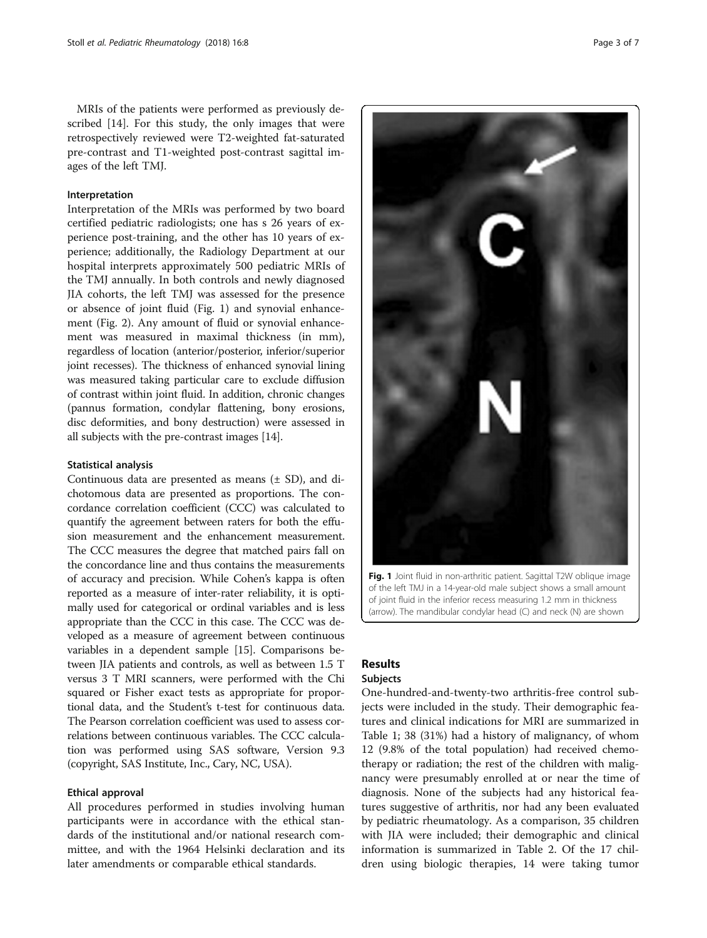<span id="page-2-0"></span>MRIs of the patients were performed as previously described [\[14](#page-6-0)]. For this study, the only images that were retrospectively reviewed were T2-weighted fat-saturated pre-contrast and T1-weighted post-contrast sagittal images of the left TMJ.

## Interpretation

Interpretation of the MRIs was performed by two board certified pediatric radiologists; one has s 26 years of experience post-training, and the other has 10 years of experience; additionally, the Radiology Department at our hospital interprets approximately 500 pediatric MRIs of the TMJ annually. In both controls and newly diagnosed JIA cohorts, the left TMJ was assessed for the presence or absence of joint fluid (Fig. 1) and synovial enhancement (Fig. [2](#page-3-0)). Any amount of fluid or synovial enhancement was measured in maximal thickness (in mm), regardless of location (anterior/posterior, inferior/superior joint recesses). The thickness of enhanced synovial lining was measured taking particular care to exclude diffusion of contrast within joint fluid. In addition, chronic changes (pannus formation, condylar flattening, bony erosions, disc deformities, and bony destruction) were assessed in all subjects with the pre-contrast images [\[14](#page-6-0)].

#### Statistical analysis

Continuous data are presented as means (± SD), and dichotomous data are presented as proportions. The concordance correlation coefficient (CCC) was calculated to quantify the agreement between raters for both the effusion measurement and the enhancement measurement. The CCC measures the degree that matched pairs fall on the concordance line and thus contains the measurements of accuracy and precision. While Cohen's kappa is often reported as a measure of inter-rater reliability, it is optimally used for categorical or ordinal variables and is less appropriate than the CCC in this case. The CCC was developed as a measure of agreement between continuous variables in a dependent sample [\[15](#page-6-0)]. Comparisons between JIA patients and controls, as well as between 1.5 T versus 3 T MRI scanners, were performed with the Chi squared or Fisher exact tests as appropriate for proportional data, and the Student's t-test for continuous data. The Pearson correlation coefficient was used to assess correlations between continuous variables. The CCC calculation was performed using SAS software, Version 9.3 (copyright, SAS Institute, Inc., Cary, NC, USA).

#### Ethical approval

All procedures performed in studies involving human participants were in accordance with the ethical standards of the institutional and/or national research committee, and with the 1964 Helsinki declaration and its later amendments or comparable ethical standards.



Fig. 1 Joint fluid in non-arthritic patient. Sagittal T2W oblique image of the left TMJ in a 14-year-old male subject shows a small amount of joint fluid in the inferior recess measuring 1.2 mm in thickness (arrow). The mandibular condylar head (C) and neck (N) are shown

# Results

# Subjects

One-hundred-and-twenty-two arthritis-free control subjects were included in the study. Their demographic features and clinical indications for MRI are summarized in Table [1](#page-3-0); 38 (31%) had a history of malignancy, of whom 12 (9.8% of the total population) had received chemotherapy or radiation; the rest of the children with malignancy were presumably enrolled at or near the time of diagnosis. None of the subjects had any historical features suggestive of arthritis, nor had any been evaluated by pediatric rheumatology. As a comparison, 35 children with JIA were included; their demographic and clinical information is summarized in Table [2.](#page-4-0) Of the 17 children using biologic therapies, 14 were taking tumor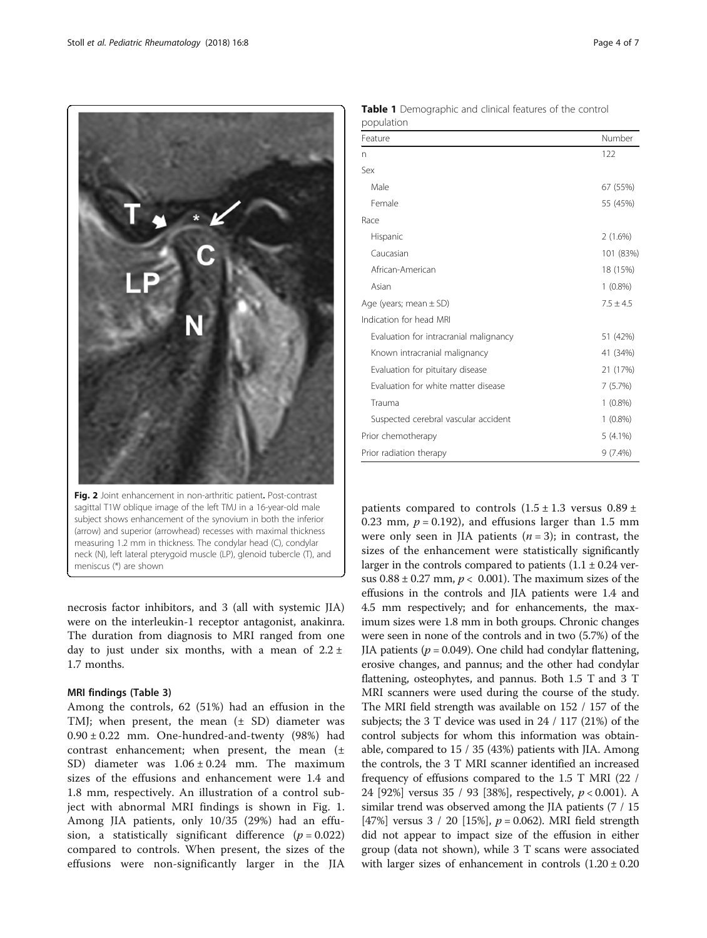<span id="page-3-0"></span>

(arrow) and superior (arrowhead) recesses with maximal thickness measuring 1.2 mm in thickness. The condylar head (C), condylar neck (N), left lateral pterygoid muscle (LP), glenoid tubercle (T), and meniscus (\*) are shown

necrosis factor inhibitors, and 3 (all with systemic JIA) were on the interleukin-1 receptor antagonist, anakinra. The duration from diagnosis to MRI ranged from one day to just under six months, with a mean of  $2.2 \pm$ 1.7 months.

#### MRI findings (Table [3\)](#page-4-0)

Among the controls, 62 (51%) had an effusion in the TMJ; when present, the mean  $(\pm SD)$  diameter was 0.90 ± 0.22 mm. One-hundred-and-twenty (98%) had contrast enhancement; when present, the mean (± SD) diameter was 1.06 ± 0.24 mm. The maximum sizes of the effusions and enhancement were 1.4 and 1.8 mm, respectively. An illustration of a control subject with abnormal MRI findings is shown in Fig. [1](#page-2-0). Among JIA patients, only 10/35 (29%) had an effusion, a statistically significant difference  $(p = 0.022)$ compared to controls. When present, the sizes of the effusions were non-significantly larger in the JIA

| population                             |               |
|----------------------------------------|---------------|
| Feature                                | Number        |
| n                                      | 122           |
| Sex                                    |               |
| Male                                   | 67 (55%)      |
| Female                                 | 55 (45%)      |
| Race                                   |               |
| Hispanic                               | 2(1.6%)       |
| Caucasian                              | 101 (83%)     |
| African-American                       | 18 (15%)      |
| Asian                                  | $1(0.8\%)$    |
| Age (years; mean $\pm$ SD)             | $7.5 \pm 4.5$ |
| Indication for head MRI                |               |
| Evaluation for intracranial malignancy | 51 (42%)      |
| Known intracranial malignancy          | 41 (34%)      |

Evaluation for pituitary disease 21 (17%) Evaluation for white matter disease 7 (5.7%) Trauma 1 (0.8%) Suspected cerebral vascular accident 1 (0.8%) Prior chemotherapy 5 (4.1%) Prior radiation therapy 9 (7.4%)

| Table 1 Demographic and clinical features of the control |  |  |
|----------------------------------------------------------|--|--|
| population                                               |  |  |

| patients compared to controls $(1.5 \pm 1.3 \text{ versus } 0.89 \pm \text{)}$ |
|--------------------------------------------------------------------------------|
| 0.23 mm, $p = 0.192$ ), and effusions larger than 1.5 mm                       |
| were only seen in JIA patients $(n = 3)$ ; in contrast, the                    |
| sizes of the enhancement were statistically significantly                      |
| larger in the controls compared to patients $(1.1 \pm 0.24 \text{ ver-}$       |
| sus $0.88 \pm 0.27$ mm, $p < 0.001$ ). The maximum sizes of the                |
| effusions in the controls and JIA patients were 1.4 and                        |
| 4.5 mm respectively; and for enhancements, the max-                            |
| imum sizes were 1.8 mm in both groups. Chronic changes                         |
| were seen in none of the controls and in two (5.7%) of the                     |
| JIA patients ( $p = 0.049$ ). One child had condylar flattening,               |
| erosive changes, and pannus; and the other had condylar                        |
| flattening, osteophytes, and pannus. Both 1.5 T and 3 T                        |
| MRI scanners were used during the course of the study.                         |
| The MRI field strength was available on 152 / 157 of the                       |
| subjects; the 3 T device was used in 24 / 117 (21%) of the                     |
| control subjects for whom this information was obtain-                         |
| able, compared to 15 / 35 (43%) patients with JIA. Among                       |
| the controls, the 3 T MRI scanner identified an increased                      |
| frequency of effusions compared to the 1.5 T MRI (22 /                         |
| 24 [92%] versus 35 / 93 [38%], respectively, $p < 0.001$ ). A                  |
| similar trend was observed among the JIA patients (7 / 15                      |
| [47%] versus 3 / 20 [15%], $p = 0.062$ ). MRI field strength                   |
| did not appear to impact size of the effusion in either                        |
| group (data not shown), while 3 T scans were associated                        |
| with larger sizes of enhancement in controls $(1.20 \pm 0.20)$                 |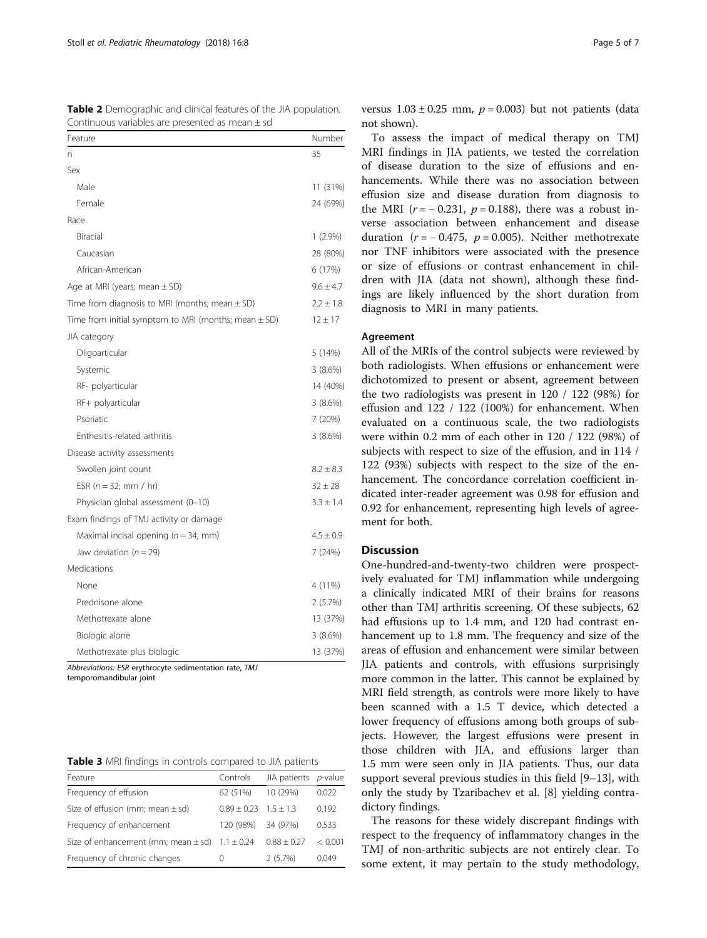<span id="page-4-0"></span>

| Table 2 Demographic and clinical features of the JIA population. |
|------------------------------------------------------------------|
| Continuous variables are presented as mean $\pm$ sd              |

| Feature                                                  | Number        |
|----------------------------------------------------------|---------------|
| n                                                        | 35            |
| Sex                                                      |               |
| Male                                                     | 11 (31%)      |
| Female                                                   | 24 (69%)      |
| Race                                                     |               |
| Biracial                                                 | $1(2.9\%)$    |
| Caucasian                                                | 28 (80%)      |
| African-American                                         | 6 (17%)       |
| Age at MRI (years; mean $\pm$ SD)                        | $9.6 \pm 4.7$ |
| Time from diagnosis to MRI (months; mean $\pm$ SD)       | $2.2 \pm 1.8$ |
| Time from initial symptom to MRI (months; mean $\pm$ SD) | $12 \pm 17$   |
| JIA category                                             |               |
| Oligoarticular                                           | 5(14%)        |
| Systemic                                                 | 3(8.6%)       |
| RF- polyarticular                                        | 14 (40%)      |
| RF+ polyarticular                                        | 3(8.6%)       |
| Psoriatic                                                | 7(20%)        |
| Enthesitis-related arthritis                             | $3(8.6\%)$    |
| Disease activity assessments                             |               |
| Swollen joint count                                      | $8.2 \pm 8.3$ |
| ESR ( $n = 32$ ; mm / hr)                                | $32 \pm 28$   |
| Physician global assessment (0-10)                       | $3.3 \pm 1.4$ |
| Exam findings of TMJ activity or damage                  |               |
| Maximal incisal opening ( $n = 34$ ; mm)                 | $4.5 \pm 0.9$ |
| Jaw deviation ( $n = 29$ )                               | 7 (24%)       |
| Medications                                              |               |
| None                                                     | 4 (11%)       |
| Prednisone alone                                         | 2(5.7%)       |
| Methotrexate alone                                       | 13 (37%)      |
| Biologic alone                                           | 3(8.6%)       |
| Methotrexate plus biologic                               | 13 (37%)      |

Abbreviations: ESR erythrocyte sedimentation rate, TMJ temporomandibular joint

| <b>Table 3</b> MRI findings in controls compared to JIA patients |  |  |  |
|------------------------------------------------------------------|--|--|--|
|------------------------------------------------------------------|--|--|--|

| Feature                                 | Controls                  | JIA patients p-value |         |
|-----------------------------------------|---------------------------|----------------------|---------|
| Frequency of effusion                   | 62 (51%)                  | 10 (29%)             | 0.022   |
| Size of effusion (mm; mean $\pm$ sd)    | $0.89 + 0.23$ $1.5 + 1.3$ |                      | 0.192   |
| Frequency of enhancement                | 120 (98%)                 | 34 (97%)             | 0.533   |
| Size of enhancement (mm; mean $\pm$ sd) | $1.1 \pm 0.24$            | $0.88 + 0.27$        | < 0.001 |
| Frequency of chronic changes            |                           | 2(5.7%)              | 0.049   |

versus  $1.03 \pm 0.25$  mm,  $p = 0.003$ ) but not patients (data not shown).

To assess the impact of medical therapy on TMJ MRI findings in JIA patients, we tested the correlation of disease duration to the size of effusions and enhancements. While there was no association between effusion size and disease duration from diagnosis to the MRI  $(r = -0.231, p = 0.188)$ , there was a robust inverse association between enhancement and disease duration ( $r = -0.475$ ,  $p = 0.005$ ). Neither methotrexate nor TNF inhibitors were associated with the presence or size of effusions or contrast enhancement in children with JIA (data not shown), although these findings are likely influenced by the short duration from diagnosis to MRI in many patients.

#### Agreement

All of the MRIs of the control subjects were reviewed by both radiologists. When effusions or enhancement were dichotomized to present or absent, agreement between the two radiologists was present in 120 / 122 (98%) for effusion and 122 / 122 (100%) for enhancement. When evaluated on a continuous scale, the two radiologists were within 0.2 mm of each other in 120 / 122 (98%) of subjects with respect to size of the effusion, and in 114 / 122 (93%) subjects with respect to the size of the enhancement. The concordance correlation coefficient indicated inter-reader agreement was 0.98 for effusion and 0.92 for enhancement, representing high levels of agreement for both.

#### **Discussion**

One-hundred-and-twenty-two children were prospectively evaluated for TMJ inflammation while undergoing a clinically indicated MRI of their brains for reasons other than TMJ arthritis screening. Of these subjects, 62 had effusions up to 1.4 mm, and 120 had contrast enhancement up to 1.8 mm. The frequency and size of the areas of effusion and enhancement were similar between JIA patients and controls, with effusions surprisingly more common in the latter. This cannot be explained by MRI field strength, as controls were more likely to have been scanned with a 1.5 T device, which detected a lower frequency of effusions among both groups of subjects. However, the largest effusions were present in those children with JIA, and effusions larger than 1.5 mm were seen only in JIA patients. Thus, our data support several previous studies in this field [[9](#page-6-0)–[13](#page-6-0)], with only the study by Tzaribachev et al. [[8](#page-6-0)] yielding contradictory findings.

The reasons for these widely discrepant findings with respect to the frequency of inflammatory changes in the TMJ of non-arthritic subjects are not entirely clear. To some extent, it may pertain to the study methodology,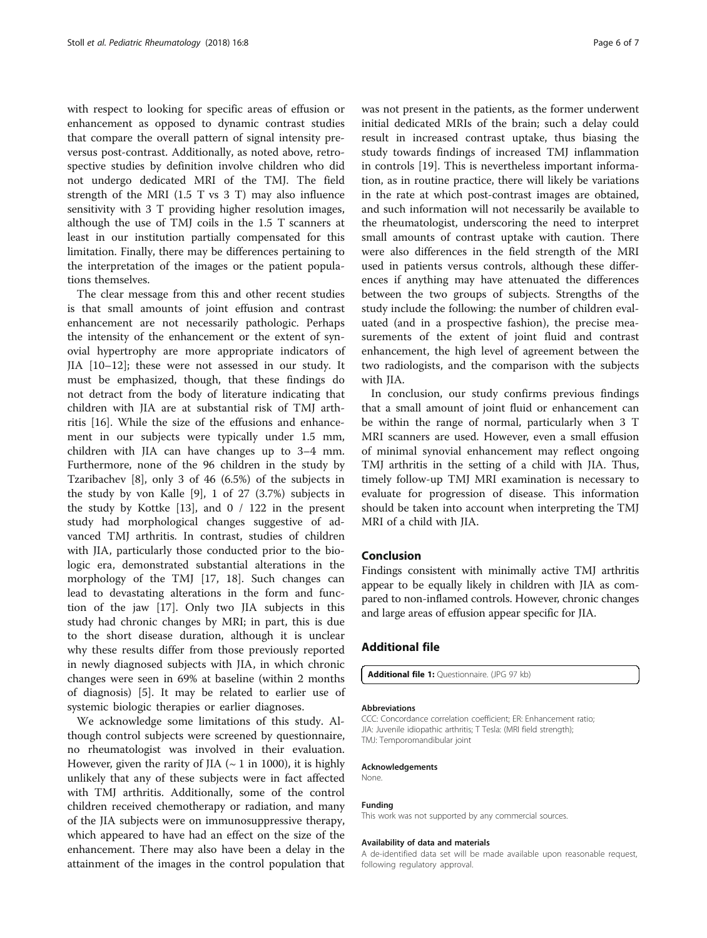<span id="page-5-0"></span>with respect to looking for specific areas of effusion or enhancement as opposed to dynamic contrast studies that compare the overall pattern of signal intensity preversus post-contrast. Additionally, as noted above, retrospective studies by definition involve children who did not undergo dedicated MRI of the TMJ. The field strength of the MRI (1.5 T vs 3 T) may also influence sensitivity with 3 T providing higher resolution images, although the use of TMJ coils in the 1.5 T scanners at least in our institution partially compensated for this limitation. Finally, there may be differences pertaining to the interpretation of the images or the patient populations themselves.

The clear message from this and other recent studies is that small amounts of joint effusion and contrast enhancement are not necessarily pathologic. Perhaps the intensity of the enhancement or the extent of synovial hypertrophy are more appropriate indicators of JIA [\[10](#page-6-0)–[12\]](#page-6-0); these were not assessed in our study. It must be emphasized, though, that these findings do not detract from the body of literature indicating that children with JIA are at substantial risk of TMJ arthritis [[16\]](#page-6-0). While the size of the effusions and enhancement in our subjects were typically under 1.5 mm, children with JIA can have changes up to 3–4 mm. Furthermore, none of the 96 children in the study by Tzaribachev [[8\]](#page-6-0), only 3 of 46 (6.5%) of the subjects in the study by von Kalle [\[9](#page-6-0)], 1 of 27 (3.7%) subjects in the study by Kottke [\[13](#page-6-0)], and 0 / 122 in the present study had morphological changes suggestive of advanced TMJ arthritis. In contrast, studies of children with JIA, particularly those conducted prior to the biologic era, demonstrated substantial alterations in the morphology of the TMJ [[17](#page-6-0), [18](#page-6-0)]. Such changes can lead to devastating alterations in the form and function of the jaw [[17\]](#page-6-0). Only two JIA subjects in this study had chronic changes by MRI; in part, this is due to the short disease duration, although it is unclear why these results differ from those previously reported in newly diagnosed subjects with JIA, in which chronic changes were seen in 69% at baseline (within 2 months of diagnosis) [[5\]](#page-6-0). It may be related to earlier use of systemic biologic therapies or earlier diagnoses.

We acknowledge some limitations of this study. Although control subjects were screened by questionnaire, no rheumatologist was involved in their evaluation. However, given the rarity of JIA ( $\sim$  1 in 1000), it is highly unlikely that any of these subjects were in fact affected with TMJ arthritis. Additionally, some of the control children received chemotherapy or radiation, and many of the JIA subjects were on immunosuppressive therapy, which appeared to have had an effect on the size of the enhancement. There may also have been a delay in the attainment of the images in the control population that was not present in the patients, as the former underwent initial dedicated MRIs of the brain; such a delay could result in increased contrast uptake, thus biasing the study towards findings of increased TMJ inflammation in controls [[19\]](#page-6-0). This is nevertheless important information, as in routine practice, there will likely be variations in the rate at which post-contrast images are obtained, and such information will not necessarily be available to the rheumatologist, underscoring the need to interpret small amounts of contrast uptake with caution. There were also differences in the field strength of the MRI used in patients versus controls, although these differences if anything may have attenuated the differences between the two groups of subjects. Strengths of the study include the following: the number of children evaluated (and in a prospective fashion), the precise measurements of the extent of joint fluid and contrast enhancement, the high level of agreement between the two radiologists, and the comparison with the subjects with JIA.

In conclusion, our study confirms previous findings that a small amount of joint fluid or enhancement can be within the range of normal, particularly when 3 T MRI scanners are used. However, even a small effusion of minimal synovial enhancement may reflect ongoing TMJ arthritis in the setting of a child with JIA. Thus, timely follow-up TMJ MRI examination is necessary to evaluate for progression of disease. This information should be taken into account when interpreting the TMJ MRI of a child with JIA.

#### Conclusion

Findings consistent with minimally active TMJ arthritis appear to be equally likely in children with JIA as compared to non-inflamed controls. However, chronic changes and large areas of effusion appear specific for JIA.

#### Additional file

[Additional file 1:](dx.doi.org/10.1186/s12969-018-0223-3) Questionnaire. (JPG 97 kb)

#### Abbreviations

CCC: Concordance correlation coefficient; ER: Enhancement ratio; JIA: Juvenile idiopathic arthritis; T Tesla: (MRI field strength); TMJ: Temporomandibular joint

#### Acknowledgements

None.

#### Funding

This work was not supported by any commercial sources.

#### Availability of data and materials

A de-identified data set will be made available upon reasonable request, following regulatory approval.